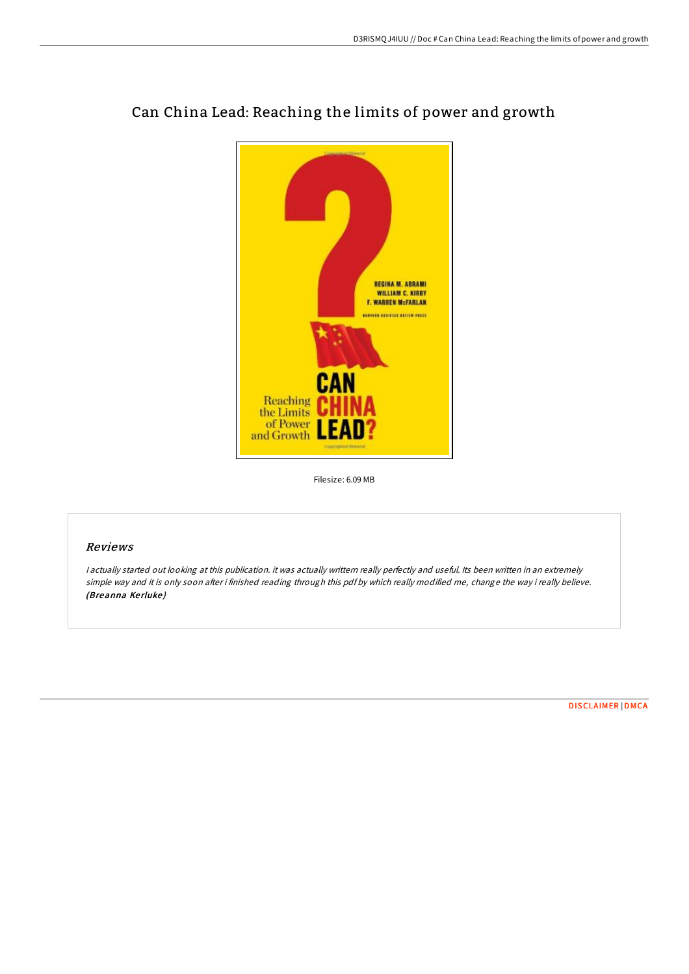

# Can China Lead: Reaching the limits of power and growth

Filesize: 6.09 MB

## Reviews

<sup>I</sup> actually started out looking at this publication. it was actually writtern really perfectly and useful. Its been written in an extremely simple way and it is only soon after i finished reading through this pdf by which really modified me, change the way i really believe. (Breanna Kerluke)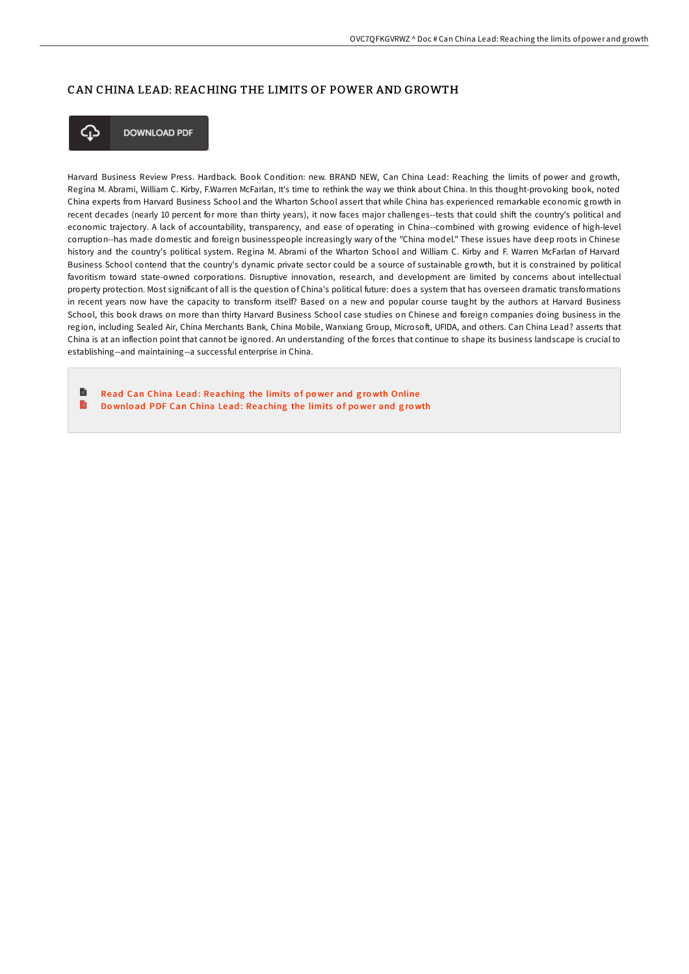## CAN CHINA LEAD: REACHING THE LIMITS OF POWER AND GROWTH



**DOWNLOAD PDF** 

Harvard Business Review Press. Hardback. Book Condition: new. BRAND NEW, Can China Lead: Reaching the limits of power and growth, Regina M. Abrami, William C. Kirby, F.Warren McFarlan, It's time to rethink the way we think about China. In this thought-provoking book, noted China experts from Harvard Business School and the Wharton School assert that while China has experienced remarkable economic growth in recent decades (nearly 10 percent for more than thirty years), it now faces major challenges--tests that could shift the country's political and economic trajectory. A lack of accountability, transparency, and ease of operating in China--combined with growing evidence of high-level corruption--has made domestic and foreign businesspeople increasingly wary of the "China model." These issues have deep roots in Chinese history and the country's political system. Regina M. Abrami of the Wharton School and William C. Kirby and F. Warren McFarlan of Harvard Business School contend that the country's dynamic private sector could be a source of sustainable growth, but it is constrained by political favoritism toward state-owned corporations. Disruptive innovation, research, and development are limited by concerns about intellectual property protection. Most significant of all is the question of China's political future: does a system that has overseen dramatic transformations in recent years now have the capacity to transform itself? Based on a new and popular course taught by the authors at Harvard Business School, this book draws on more than thirty Harvard Business School case studies on Chinese and foreign companies doing business in the region, including Sealed Air, China Merchants Bank, China Mobile, Wanxiang Group, Microsoft, UFIDA, and others. Can China Lead? asserts that China is at an inflection point that cannot be ignored. An understanding of the forces that continue to shape its business landscape is crucial to establishing--and maintaining--a successful enterprise in China.

B Read Can China Lead: [Reaching](http://almighty24.tech/can-china-lead-reaching-the-limits-of-power-and-.html) the limits of power and growth Online  $\rightarrow$ Download PDF Can China Lead: [Reaching](http://almighty24.tech/can-china-lead-reaching-the-limits-of-power-and-.html) the limits of power and growth